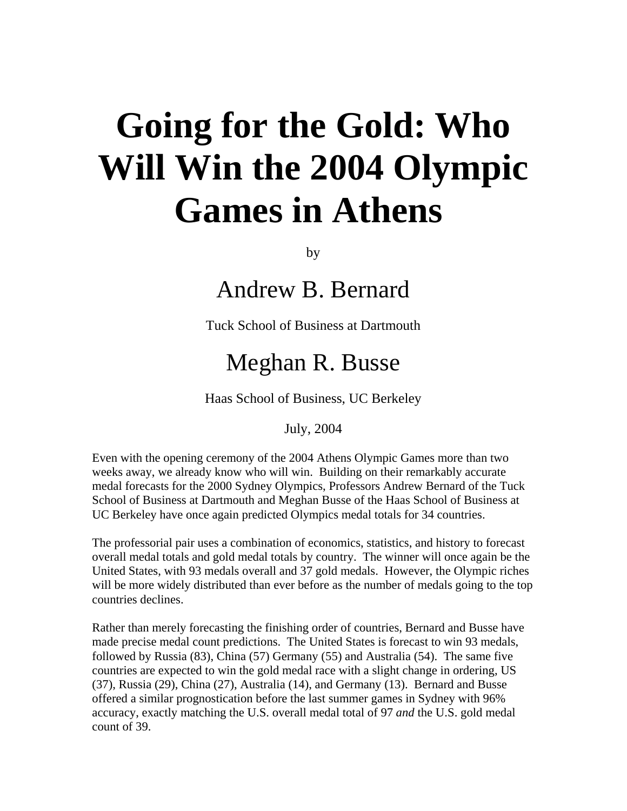## **Going for the Gold: Who Will Win the 2004 Olympic Games in Athens**

by

Andrew B. Bernard

Tuck School of Business at Dartmouth

## Meghan R. Busse

Haas School of Business, UC Berkeley

July, 2004

Even with the opening ceremony of the 2004 Athens Olympic Games more than two weeks away, we already know who will win. Building on their remarkably accurate medal forecasts for the 2000 Sydney Olympics, Professors Andrew Bernard of the Tuck School of Business at Dartmouth and Meghan Busse of the Haas School of Business at UC Berkeley have once again predicted Olympics medal totals for 34 countries.

The professorial pair uses a combination of economics, statistics, and history to forecast overall medal totals and gold medal totals by country. The winner will once again be the United States, with 93 medals overall and 37 gold medals. However, the Olympic riches will be more widely distributed than ever before as the number of medals going to the top countries declines.

Rather than merely forecasting the finishing order of countries, Bernard and Busse have made precise medal count predictions. The United States is forecast to win 93 medals, followed by Russia (83), China (57) Germany (55) and Australia (54). The same five countries are expected to win the gold medal race with a slight change in ordering, US (37), Russia (29), China (27), Australia (14), and Germany (13). Bernard and Busse offered a similar prognostication before the last summer games in Sydney with 96% accuracy, exactly matching the U.S. overall medal total of 97 *and* the U.S. gold medal count of 39.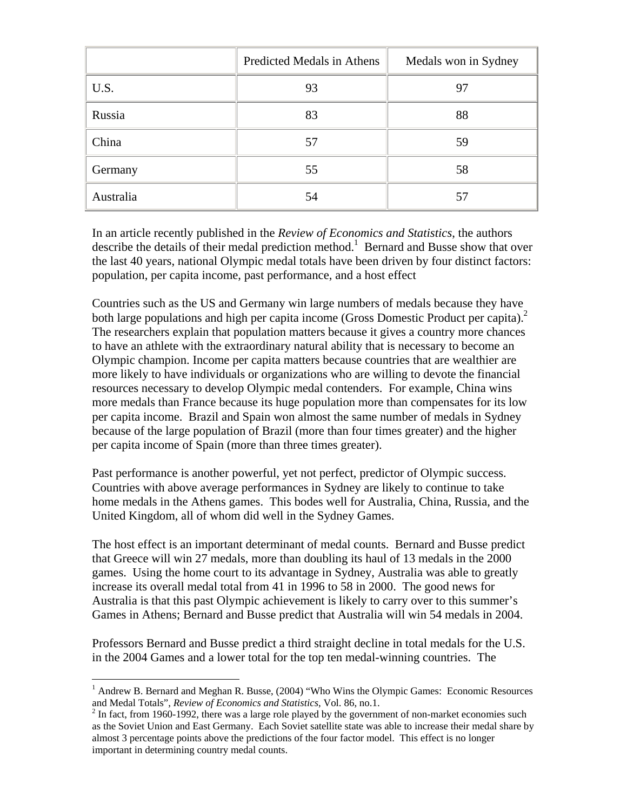|           | Predicted Medals in Athens | Medals won in Sydney |
|-----------|----------------------------|----------------------|
| U.S.      | 93                         | 97                   |
| Russia    | 83                         | 88                   |
| China     | 57                         | 59                   |
| Germany   | 55                         | 58                   |
| Australia | 54                         | 57                   |

In an article recently published in the *Review of Economics and Statistics*, the authors describe the details of their medal prediction method.<sup>1</sup> Bernard and Busse show that over the last 40 years, national Olympic medal totals have been driven by four distinct factors: population, per capita income, past performance, and a host effect

Countries such as the US and Germany win large numbers of medals because they have both large populations and high per capita income (Gross Domestic Product per capita).<sup>[2](#page-1-1)</sup> The researchers explain that population matters because it gives a country more chances to have an athlete with the extraordinary natural ability that is necessary to become an Olympic champion. Income per capita matters because countries that are wealthier are more likely to have individuals or organizations who are willing to devote the financial resources necessary to develop Olympic medal contenders. For example, China wins more medals than France because its huge population more than compensates for its low per capita income. Brazil and Spain won almost the same number of medals in Sydney because of the large population of Brazil (more than four times greater) and the higher per capita income of Spain (more than three times greater).

Past performance is another powerful, yet not perfect, predictor of Olympic success. Countries with above average performances in Sydney are likely to continue to take home medals in the Athens games. This bodes well for Australia, China, Russia, and the United Kingdom, all of whom did well in the Sydney Games.

The host effect is an important determinant of medal counts. Bernard and Busse predict that Greece will win 27 medals, more than doubling its haul of 13 medals in the 2000 games. Using the home court to its advantage in Sydney, Australia was able to greatly increase its overall medal total from 41 in 1996 to 58 in 2000. The good news for Australia is that this past Olympic achievement is likely to carry over to this summer's Games in Athens; Bernard and Busse predict that Australia will win 54 medals in 2004.

Professors Bernard and Busse predict a third straight decline in total medals for the U.S. in the 2004 Games and a lower total for the top ten medal-winning countries. The

 $\overline{a}$ 

<span id="page-1-0"></span><sup>&</sup>lt;sup>1</sup> Andrew B. Bernard and Meghan R. Busse, (2004) "Who Wins the Olympic Games: Economic Resources and Medal Totals", *Review of Economics and Statistics*, Vol. 86, no.1. 2

<span id="page-1-1"></span> $<sup>2</sup>$  In fact, from 1960-1992, there was a large role played by the government of non-market economies such</sup> as the Soviet Union and East Germany. Each Soviet satellite state was able to increase their medal share by almost 3 percentage points above the predictions of the four factor model. This effect is no longer important in determining country medal counts.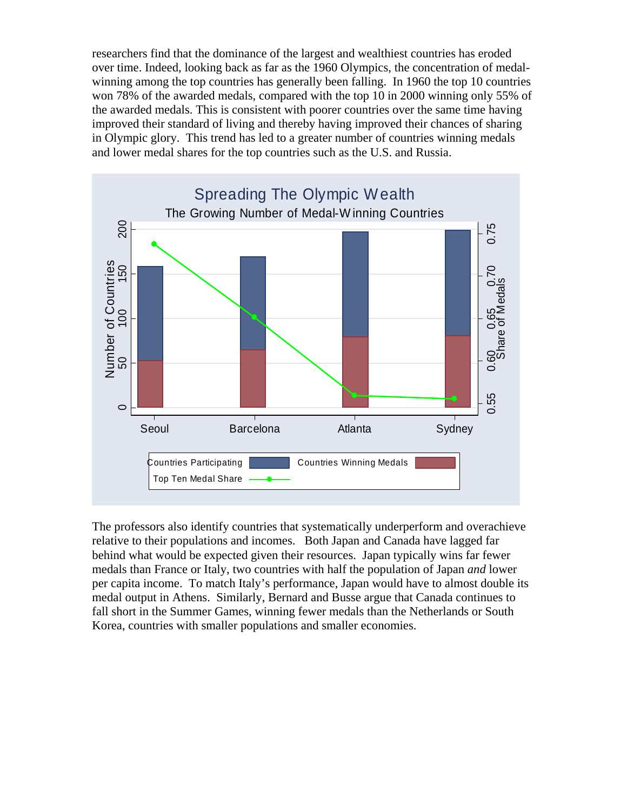researchers find that the dominance of the largest and wealthiest countries has eroded over time. Indeed, looking back as far as the 1960 Olympics, the concentration of medalwinning among the top countries has generally been falling. In 1960 the top 10 countries won 78% of the awarded medals, compared with the top 10 in 2000 winning only 55% of the awarded medals. This is consistent with poorer countries over the same time having improved their standard of living and thereby having improved their chances of sharing in Olympic glory. This trend has led to a greater number of countries winning medals and lower medal shares for the top countries such as the U.S. and Russia.



The professors also identify countries that systematically underperform and overachieve relative to their populations and incomes. Both Japan and Canada have lagged far behind what would be expected given their resources. Japan typically wins far fewer medals than France or Italy, two countries with half the population of Japan *and* lower per capita income. To match Italy's performance, Japan would have to almost double its medal output in Athens. Similarly, Bernard and Busse argue that Canada continues to fall short in the Summer Games, winning fewer medals than the Netherlands or South Korea, countries with smaller populations and smaller economies.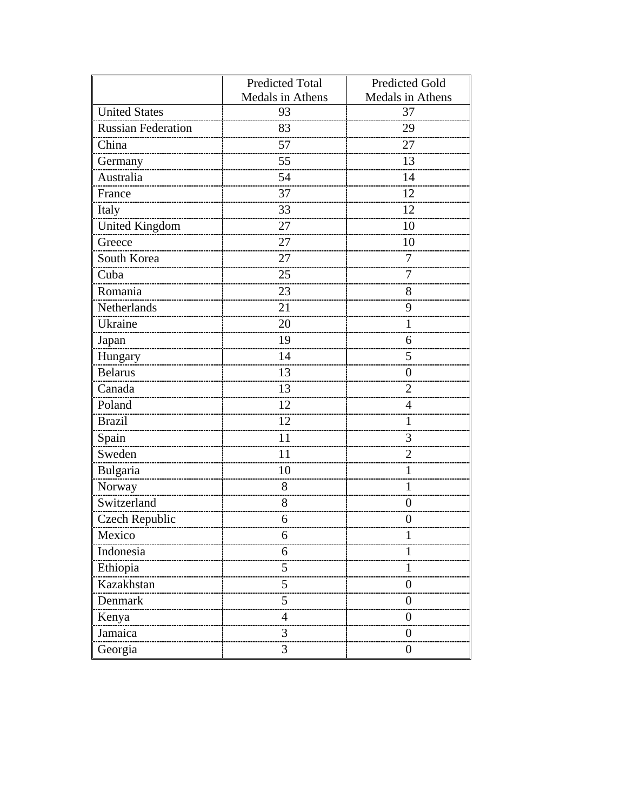|                           | <b>Predicted Total</b> | <b>Predicted Gold</b> |
|---------------------------|------------------------|-----------------------|
|                           | Medals in Athens       | Medals in Athens      |
| <b>United States</b>      | 93                     | 37                    |
| <b>Russian Federation</b> | 83                     | 29                    |
| China                     | 57                     | 27                    |
| Germany                   | 55                     | 13                    |
| Australia                 | 54                     | 14                    |
| France                    | 37                     | 12                    |
| Italy                     | 33                     | 12                    |
| <b>United Kingdom</b>     | 27                     | 10                    |
| Greece                    | 27                     | 10                    |
| South Korea               | 27                     | 7                     |
| Cuba                      | 25                     | 7                     |
| Romania                   | 23                     | 8                     |
| Netherlands               | 21                     | 9                     |
| Ukraine                   | 20                     | 1                     |
| Japan                     | 19                     | 6                     |
| Hungary                   | 14                     | 5                     |
| <b>Belarus</b>            | 13                     | $\overline{0}$        |
| Canada                    | 13                     | $\overline{2}$        |
| Poland                    | 12                     | 4                     |
| <b>Brazil</b>             | 12                     | 1                     |
| Spain                     | 11                     | 3                     |
| Sweden                    | 11                     | $\overline{2}$        |
| Bulgaria                  | 10                     | 1                     |
| Norway                    | 8                      | 1                     |
| Switzerland               | 8                      | $\boldsymbol{0}$      |
| <b>Czech Republic</b>     | 6                      | $\overline{0}$        |
| Mexico                    | 6                      |                       |
| Indonesia                 | 6                      |                       |
| Ethiopia                  | 5                      |                       |
| Kazakhstan                | 5                      | $\theta$              |
| Denmark                   | 5                      | $\boldsymbol{0}$      |
| Kenya                     | $\overline{4}$         | $\theta$              |
| Jamaica                   | 3                      | $\theta$              |
| Georgia                   | 3                      | $\boldsymbol{0}$      |